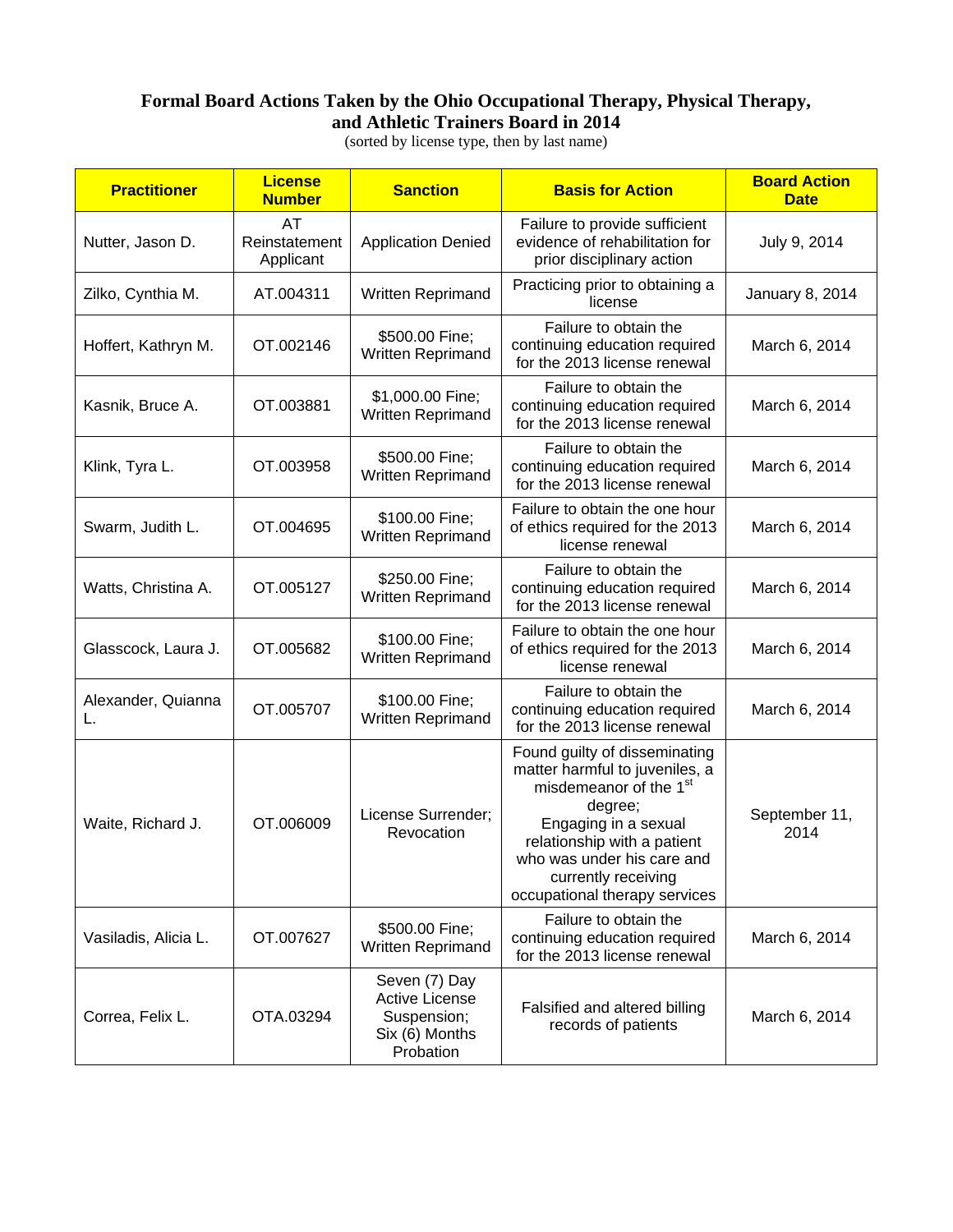## **Formal Board Actions Taken by the Ohio Occupational Therapy, Physical Therapy, and Athletic Trainers Board in 2014**

(sorted by license type, then by last name)

| <b>Practitioner</b>      | <b>License</b><br><b>Number</b>  | <b>Sanction</b>                                                               | <b>Basis for Action</b>                                                                                                                                                                                                                                       | <b>Board Action</b><br><b>Date</b> |
|--------------------------|----------------------------------|-------------------------------------------------------------------------------|---------------------------------------------------------------------------------------------------------------------------------------------------------------------------------------------------------------------------------------------------------------|------------------------------------|
| Nutter, Jason D.         | AT<br>Reinstatement<br>Applicant | <b>Application Denied</b>                                                     | Failure to provide sufficient<br>evidence of rehabilitation for<br>prior disciplinary action                                                                                                                                                                  | July 9, 2014                       |
| Zilko, Cynthia M.        | AT.004311                        | Written Reprimand                                                             | Practicing prior to obtaining a<br>license                                                                                                                                                                                                                    | January 8, 2014                    |
| Hoffert, Kathryn M.      | OT.002146                        | \$500.00 Fine;<br>Written Reprimand                                           | Failure to obtain the<br>continuing education required<br>for the 2013 license renewal                                                                                                                                                                        | March 6, 2014                      |
| Kasnik, Bruce A.         | OT.003881                        | \$1,000.00 Fine;<br>Written Reprimand                                         | Failure to obtain the<br>continuing education required<br>for the 2013 license renewal                                                                                                                                                                        | March 6, 2014                      |
| Klink, Tyra L.           | OT.003958                        | \$500.00 Fine;<br>Written Reprimand                                           | Failure to obtain the<br>continuing education required<br>for the 2013 license renewal                                                                                                                                                                        | March 6, 2014                      |
| Swarm, Judith L.         | OT.004695                        | \$100.00 Fine;<br>Written Reprimand                                           | Failure to obtain the one hour<br>of ethics required for the 2013<br>license renewal                                                                                                                                                                          | March 6, 2014                      |
| Watts, Christina A.      | OT.005127                        | \$250.00 Fine;<br>Written Reprimand                                           | Failure to obtain the<br>continuing education required<br>for the 2013 license renewal                                                                                                                                                                        | March 6, 2014                      |
| Glasscock, Laura J.      | OT.005682                        | \$100.00 Fine;<br>Written Reprimand                                           | Failure to obtain the one hour<br>of ethics required for the 2013<br>license renewal                                                                                                                                                                          | March 6, 2014                      |
| Alexander, Quianna<br>L. | OT.005707                        | \$100.00 Fine;<br>Written Reprimand                                           | Failure to obtain the<br>continuing education required<br>for the 2013 license renewal                                                                                                                                                                        | March 6, 2014                      |
| Waite, Richard J.        | OT.006009                        | License Surrender;<br>Revocation                                              | Found guilty of disseminating<br>matter harmful to juveniles, a<br>misdemeanor of the 1 <sup>st</sup><br>degree;<br>Engaging in a sexual<br>relationship with a patient<br>who was under his care and<br>currently receiving<br>occupational therapy services | September 11,<br>2014              |
| Vasiladis, Alicia L.     | OT.007627                        | \$500.00 Fine;<br>Written Reprimand                                           | Failure to obtain the<br>continuing education required<br>for the 2013 license renewal                                                                                                                                                                        | March 6, 2014                      |
| Correa, Felix L.         | OTA.03294                        | Seven (7) Day<br>Active License<br>Suspension;<br>Six (6) Months<br>Probation | Falsified and altered billing<br>records of patients                                                                                                                                                                                                          | March 6, 2014                      |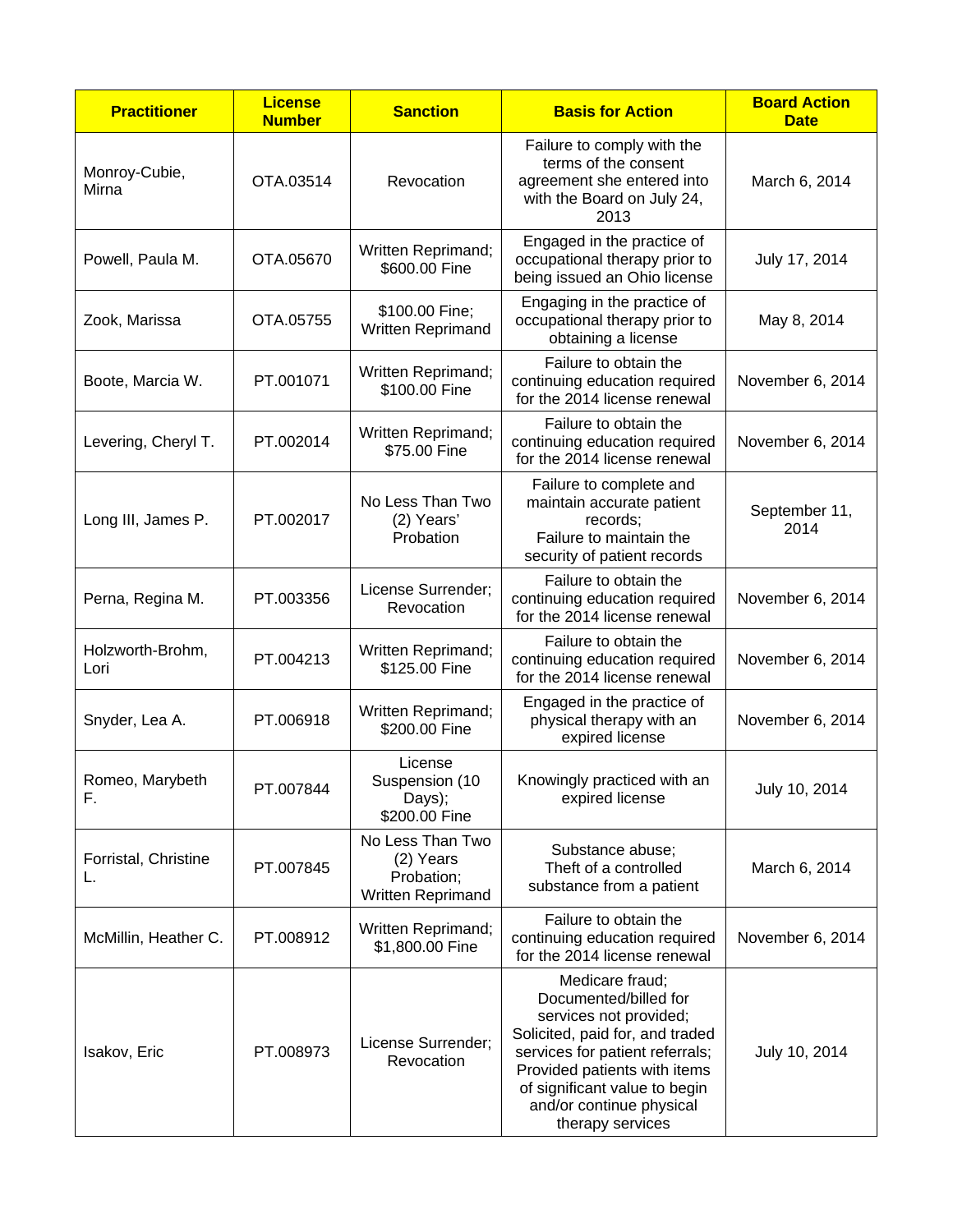| <b>Practitioner</b>        | <b>License</b><br><b>Number</b> | <b>Sanction</b>                                                  | <b>Basis for Action</b>                                                                                                                                                                                                                                   | <b>Board Action</b><br><b>Date</b> |
|----------------------------|---------------------------------|------------------------------------------------------------------|-----------------------------------------------------------------------------------------------------------------------------------------------------------------------------------------------------------------------------------------------------------|------------------------------------|
| Monroy-Cubie,<br>Mirna     | OTA.03514                       | Revocation                                                       | Failure to comply with the<br>terms of the consent<br>agreement she entered into<br>with the Board on July 24,<br>2013                                                                                                                                    | March 6, 2014                      |
| Powell, Paula M.           | OTA.05670                       | Written Reprimand;<br>\$600.00 Fine                              | Engaged in the practice of<br>occupational therapy prior to<br>being issued an Ohio license                                                                                                                                                               | July 17, 2014                      |
| Zook, Marissa              | OTA.05755                       | \$100.00 Fine;<br>Written Reprimand                              | Engaging in the practice of<br>occupational therapy prior to<br>obtaining a license                                                                                                                                                                       | May 8, 2014                        |
| Boote, Marcia W.           | PT.001071                       | Written Reprimand;<br>\$100.00 Fine                              | Failure to obtain the<br>continuing education required<br>for the 2014 license renewal                                                                                                                                                                    | November 6, 2014                   |
| Levering, Cheryl T.        | PT.002014                       | Written Reprimand;<br>\$75.00 Fine                               | Failure to obtain the<br>continuing education required<br>for the 2014 license renewal                                                                                                                                                                    | November 6, 2014                   |
| Long III, James P.         | PT.002017                       | No Less Than Two<br>(2) Years'<br>Probation                      | Failure to complete and<br>maintain accurate patient<br>records:<br>Failure to maintain the<br>security of patient records                                                                                                                                | September 11,<br>2014              |
| Perna, Regina M.           | PT.003356                       | License Surrender;<br>Revocation                                 | Failure to obtain the<br>continuing education required<br>for the 2014 license renewal                                                                                                                                                                    | November 6, 2014                   |
| Holzworth-Brohm,<br>Lori   | PT.004213                       | Written Reprimand;<br>\$125.00 Fine                              | Failure to obtain the<br>continuing education required<br>for the 2014 license renewal                                                                                                                                                                    | November 6, 2014                   |
| Snyder, Lea A.             | PT.006918                       | Written Reprimand;<br>\$200.00 Fine                              | Engaged in the practice of<br>physical therapy with an<br>expired license                                                                                                                                                                                 | November 6, 2014                   |
| Romeo, Marybeth<br>F.      | PT.007844                       | License<br>Suspension (10<br>Days);<br>\$200.00 Fine             | Knowingly practiced with an<br>expired license                                                                                                                                                                                                            | July 10, 2014                      |
| Forristal, Christine<br>L. | PT.007845                       | No Less Than Two<br>(2) Years<br>Probation;<br>Written Reprimand | Substance abuse;<br>Theft of a controlled<br>substance from a patient                                                                                                                                                                                     | March 6, 2014                      |
| McMillin, Heather C.       | PT.008912                       | Written Reprimand;<br>\$1,800.00 Fine                            | Failure to obtain the<br>continuing education required<br>for the 2014 license renewal                                                                                                                                                                    | November 6, 2014                   |
| Isakov, Eric               | PT.008973                       | License Surrender;<br>Revocation                                 | Medicare fraud;<br>Documented/billed for<br>services not provided;<br>Solicited, paid for, and traded<br>services for patient referrals;<br>Provided patients with items<br>of significant value to begin<br>and/or continue physical<br>therapy services | July 10, 2014                      |